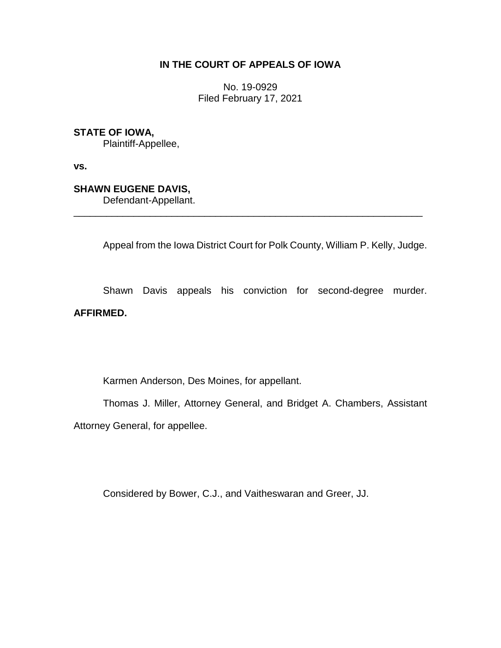# **IN THE COURT OF APPEALS OF IOWA**

No. 19-0929 Filed February 17, 2021

## **STATE OF IOWA,**

Plaintiff-Appellee,

**vs.**

## **SHAWN EUGENE DAVIS,**

Defendant-Appellant.

Appeal from the Iowa District Court for Polk County, William P. Kelly, Judge.

\_\_\_\_\_\_\_\_\_\_\_\_\_\_\_\_\_\_\_\_\_\_\_\_\_\_\_\_\_\_\_\_\_\_\_\_\_\_\_\_\_\_\_\_\_\_\_\_\_\_\_\_\_\_\_\_\_\_\_\_\_\_\_\_

Shawn Davis appeals his conviction for second-degree murder. **AFFIRMED.**

Karmen Anderson, Des Moines, for appellant.

Thomas J. Miller, Attorney General, and Bridget A. Chambers, Assistant Attorney General, for appellee.

Considered by Bower, C.J., and Vaitheswaran and Greer, JJ.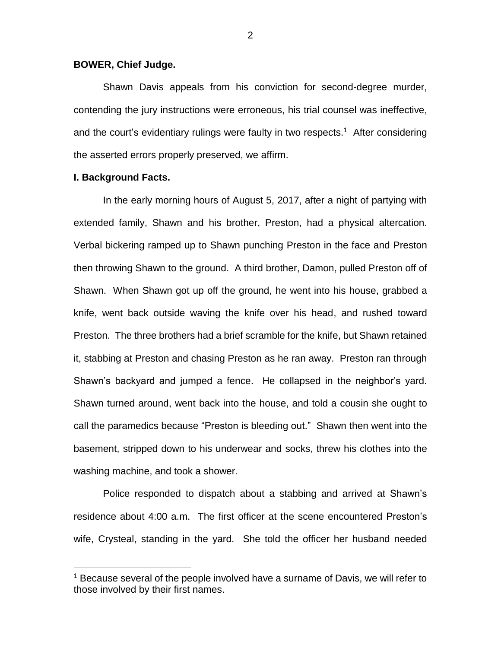### **BOWER, Chief Judge.**

Shawn Davis appeals from his conviction for second-degree murder, contending the jury instructions were erroneous, his trial counsel was ineffective, and the court's evidentiary rulings were faulty in two respects.<sup>1</sup> After considering the asserted errors properly preserved, we affirm.

### **I. Background Facts.**

 $\overline{a}$ 

In the early morning hours of August 5, 2017, after a night of partying with extended family, Shawn and his brother, Preston, had a physical altercation. Verbal bickering ramped up to Shawn punching Preston in the face and Preston then throwing Shawn to the ground. A third brother, Damon, pulled Preston off of Shawn. When Shawn got up off the ground, he went into his house, grabbed a knife, went back outside waving the knife over his head, and rushed toward Preston. The three brothers had a brief scramble for the knife, but Shawn retained it, stabbing at Preston and chasing Preston as he ran away. Preston ran through Shawn's backyard and jumped a fence. He collapsed in the neighbor's yard. Shawn turned around, went back into the house, and told a cousin she ought to call the paramedics because "Preston is bleeding out." Shawn then went into the basement, stripped down to his underwear and socks, threw his clothes into the washing machine, and took a shower.

Police responded to dispatch about a stabbing and arrived at Shawn's residence about 4:00 a.m. The first officer at the scene encountered Preston's wife, Crysteal, standing in the yard. She told the officer her husband needed

<sup>&</sup>lt;sup>1</sup> Because several of the people involved have a surname of Davis, we will refer to those involved by their first names.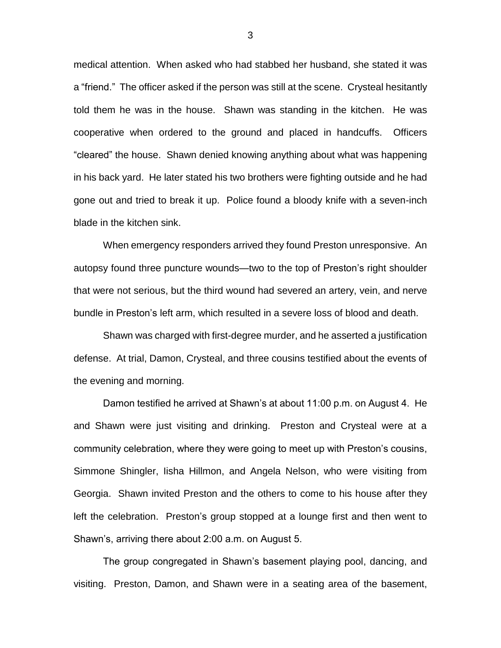medical attention. When asked who had stabbed her husband, she stated it was a "friend." The officer asked if the person was still at the scene. Crysteal hesitantly told them he was in the house. Shawn was standing in the kitchen. He was cooperative when ordered to the ground and placed in handcuffs. Officers "cleared" the house. Shawn denied knowing anything about what was happening in his back yard. He later stated his two brothers were fighting outside and he had gone out and tried to break it up. Police found a bloody knife with a seven-inch blade in the kitchen sink.

When emergency responders arrived they found Preston unresponsive. An autopsy found three puncture wounds—two to the top of Preston's right shoulder that were not serious, but the third wound had severed an artery, vein, and nerve bundle in Preston's left arm, which resulted in a severe loss of blood and death.

Shawn was charged with first-degree murder, and he asserted a justification defense. At trial, Damon, Crysteal, and three cousins testified about the events of the evening and morning.

Damon testified he arrived at Shawn's at about 11:00 p.m. on August 4. He and Shawn were just visiting and drinking. Preston and Crysteal were at a community celebration, where they were going to meet up with Preston's cousins, Simmone Shingler, Iisha Hillmon, and Angela Nelson, who were visiting from Georgia. Shawn invited Preston and the others to come to his house after they left the celebration. Preston's group stopped at a lounge first and then went to Shawn's, arriving there about 2:00 a.m. on August 5.

The group congregated in Shawn's basement playing pool, dancing, and visiting. Preston, Damon, and Shawn were in a seating area of the basement,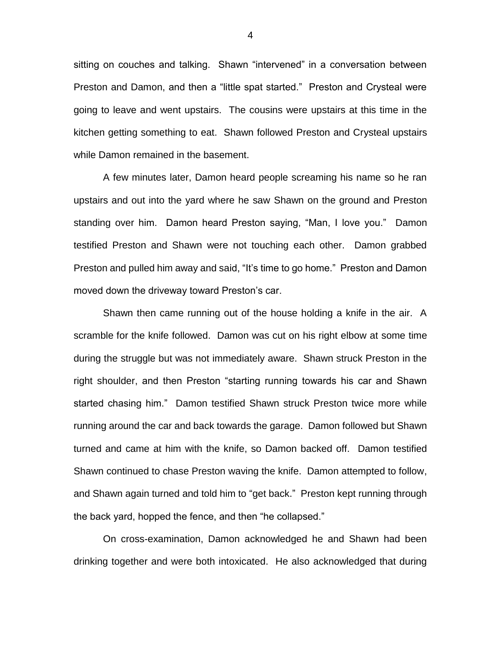sitting on couches and talking. Shawn "intervened" in a conversation between Preston and Damon, and then a "little spat started." Preston and Crysteal were going to leave and went upstairs. The cousins were upstairs at this time in the kitchen getting something to eat. Shawn followed Preston and Crysteal upstairs while Damon remained in the basement.

A few minutes later, Damon heard people screaming his name so he ran upstairs and out into the yard where he saw Shawn on the ground and Preston standing over him. Damon heard Preston saying, "Man, I love you." Damon testified Preston and Shawn were not touching each other. Damon grabbed Preston and pulled him away and said, "It's time to go home." Preston and Damon moved down the driveway toward Preston's car.

Shawn then came running out of the house holding a knife in the air. A scramble for the knife followed. Damon was cut on his right elbow at some time during the struggle but was not immediately aware. Shawn struck Preston in the right shoulder, and then Preston "starting running towards his car and Shawn started chasing him." Damon testified Shawn struck Preston twice more while running around the car and back towards the garage. Damon followed but Shawn turned and came at him with the knife, so Damon backed off. Damon testified Shawn continued to chase Preston waving the knife. Damon attempted to follow, and Shawn again turned and told him to "get back." Preston kept running through the back yard, hopped the fence, and then "he collapsed."

On cross-examination, Damon acknowledged he and Shawn had been drinking together and were both intoxicated. He also acknowledged that during

4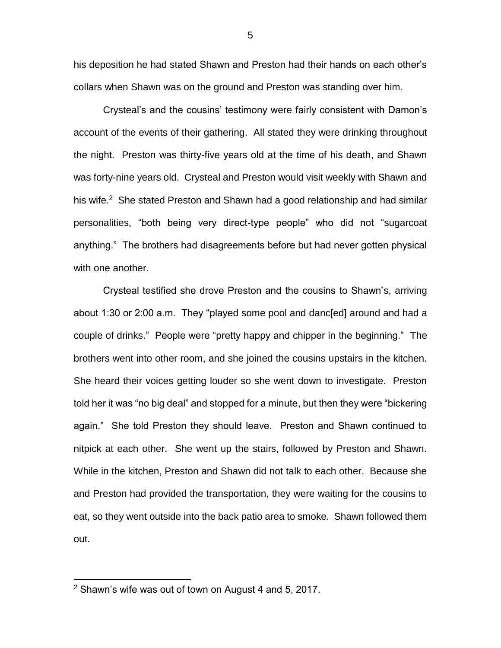his deposition he had stated Shawn and Preston had their hands on each other's collars when Shawn was on the ground and Preston was standing over him.

Crysteal's and the cousins' testimony were fairly consistent with Damon's account of the events of their gathering. All stated they were drinking throughout the night. Preston was thirty-five years old at the time of his death, and Shawn was forty-nine years old. Crysteal and Preston would visit weekly with Shawn and his wife.<sup>2</sup> She stated Preston and Shawn had a good relationship and had similar personalities, "both being very direct-type people" who did not "sugarcoat anything." The brothers had disagreements before but had never gotten physical with one another.

Crysteal testified she drove Preston and the cousins to Shawn's, arriving about 1:30 or 2:00 a.m. They "played some pool and danc[ed] around and had a couple of drinks." People were "pretty happy and chipper in the beginning." The brothers went into other room, and she joined the cousins upstairs in the kitchen. She heard their voices getting louder so she went down to investigate. Preston told her it was "no big deal" and stopped for a minute, but then they were "bickering again." She told Preston they should leave. Preston and Shawn continued to nitpick at each other. She went up the stairs, followed by Preston and Shawn. While in the kitchen, Preston and Shawn did not talk to each other. Because she and Preston had provided the transportation, they were waiting for the cousins to eat, so they went outside into the back patio area to smoke. Shawn followed them out.

 $\overline{a}$ 

5

<sup>2</sup> Shawn's wife was out of town on August 4 and 5, 2017.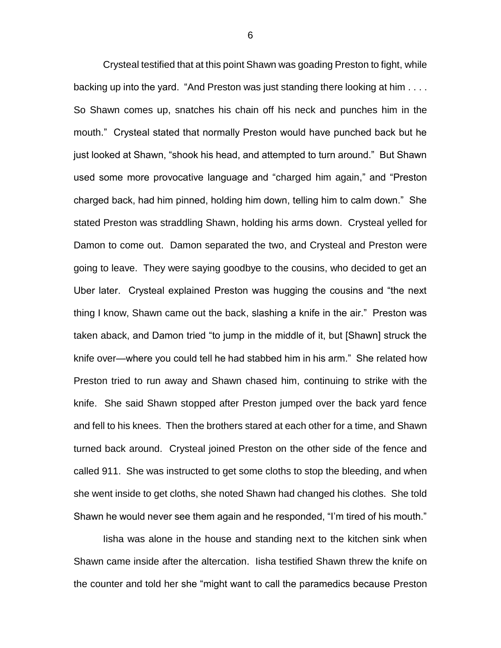Crysteal testified that at this point Shawn was goading Preston to fight, while backing up into the yard. "And Preston was just standing there looking at him . . . . So Shawn comes up, snatches his chain off his neck and punches him in the mouth." Crysteal stated that normally Preston would have punched back but he just looked at Shawn, "shook his head, and attempted to turn around." But Shawn used some more provocative language and "charged him again," and "Preston charged back, had him pinned, holding him down, telling him to calm down." She stated Preston was straddling Shawn, holding his arms down. Crysteal yelled for Damon to come out. Damon separated the two, and Crysteal and Preston were going to leave. They were saying goodbye to the cousins, who decided to get an Uber later. Crysteal explained Preston was hugging the cousins and "the next thing I know, Shawn came out the back, slashing a knife in the air." Preston was taken aback, and Damon tried "to jump in the middle of it, but [Shawn] struck the knife over—where you could tell he had stabbed him in his arm." She related how Preston tried to run away and Shawn chased him, continuing to strike with the knife. She said Shawn stopped after Preston jumped over the back yard fence and fell to his knees. Then the brothers stared at each other for a time, and Shawn turned back around. Crysteal joined Preston on the other side of the fence and called 911. She was instructed to get some cloths to stop the bleeding, and when she went inside to get cloths, she noted Shawn had changed his clothes. She told Shawn he would never see them again and he responded, "I'm tired of his mouth."

Iisha was alone in the house and standing next to the kitchen sink when Shawn came inside after the altercation. Iisha testified Shawn threw the knife on the counter and told her she "might want to call the paramedics because Preston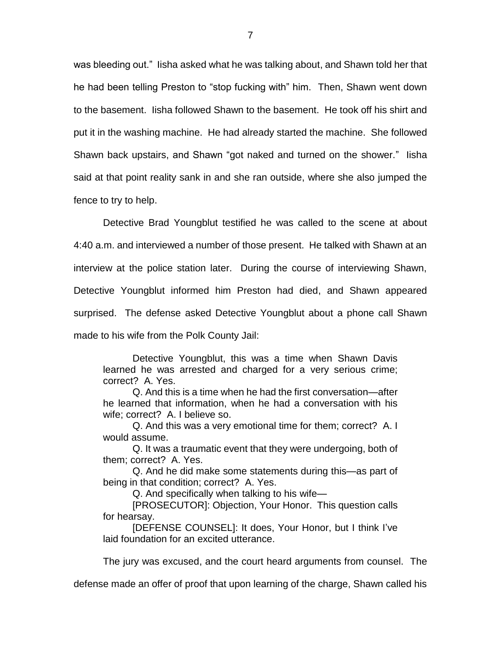was bleeding out." Iisha asked what he was talking about, and Shawn told her that he had been telling Preston to "stop fucking with" him. Then, Shawn went down to the basement. Iisha followed Shawn to the basement. He took off his shirt and put it in the washing machine. He had already started the machine. She followed Shawn back upstairs, and Shawn "got naked and turned on the shower." Iisha said at that point reality sank in and she ran outside, where she also jumped the fence to try to help.

Detective Brad Youngblut testified he was called to the scene at about 4:40 a.m. and interviewed a number of those present. He talked with Shawn at an interview at the police station later. During the course of interviewing Shawn, Detective Youngblut informed him Preston had died, and Shawn appeared surprised. The defense asked Detective Youngblut about a phone call Shawn made to his wife from the Polk County Jail:

Detective Youngblut, this was a time when Shawn Davis learned he was arrested and charged for a very serious crime; correct? A. Yes.

Q. And this is a time when he had the first conversation—after he learned that information, when he had a conversation with his wife; correct? A. I believe so.

Q. And this was a very emotional time for them; correct? A. I would assume.

Q. It was a traumatic event that they were undergoing, both of them; correct? A. Yes.

Q. And he did make some statements during this—as part of being in that condition; correct? A. Yes.

Q. And specifically when talking to his wife—

[PROSECUTOR]: Objection, Your Honor. This question calls for hearsay.

[DEFENSE COUNSEL]: It does, Your Honor, but I think I've laid foundation for an excited utterance.

The jury was excused, and the court heard arguments from counsel. The

defense made an offer of proof that upon learning of the charge, Shawn called his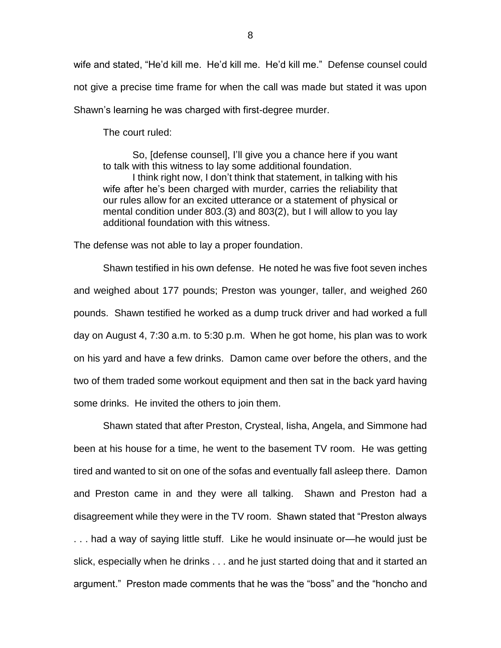wife and stated, "He'd kill me. He'd kill me. He'd kill me." Defense counsel could not give a precise time frame for when the call was made but stated it was upon Shawn's learning he was charged with first-degree murder.

The court ruled:

So, [defense counsel], I'll give you a chance here if you want to talk with this witness to lay some additional foundation. I think right now, I don't think that statement, in talking with his wife after he's been charged with murder, carries the reliability that our rules allow for an excited utterance or a statement of physical or mental condition under 803.(3) and 803(2), but I will allow to you lay additional foundation with this witness.

The defense was not able to lay a proper foundation.

Shawn testified in his own defense. He noted he was five foot seven inches and weighed about 177 pounds; Preston was younger, taller, and weighed 260 pounds. Shawn testified he worked as a dump truck driver and had worked a full day on August 4, 7:30 a.m. to 5:30 p.m. When he got home, his plan was to work on his yard and have a few drinks. Damon came over before the others, and the two of them traded some workout equipment and then sat in the back yard having some drinks. He invited the others to join them.

Shawn stated that after Preston, Crysteal, Iisha, Angela, and Simmone had been at his house for a time, he went to the basement TV room. He was getting tired and wanted to sit on one of the sofas and eventually fall asleep there. Damon and Preston came in and they were all talking. Shawn and Preston had a disagreement while they were in the TV room. Shawn stated that "Preston always . . . had a way of saying little stuff. Like he would insinuate or—he would just be slick, especially when he drinks . . . and he just started doing that and it started an argument." Preston made comments that he was the "boss" and the "honcho and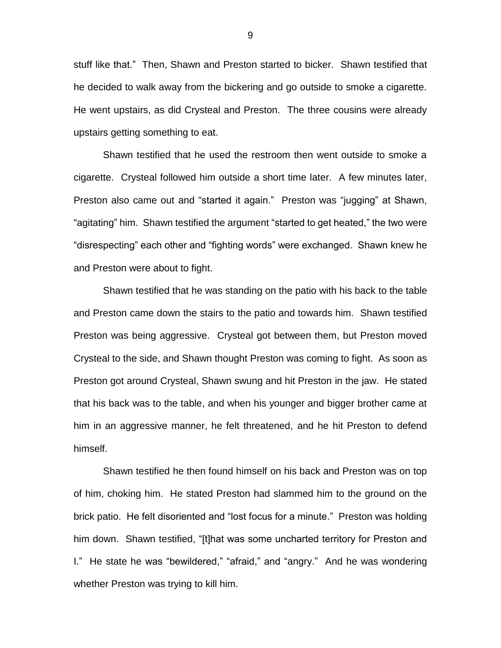stuff like that." Then, Shawn and Preston started to bicker. Shawn testified that he decided to walk away from the bickering and go outside to smoke a cigarette. He went upstairs, as did Crysteal and Preston. The three cousins were already upstairs getting something to eat.

Shawn testified that he used the restroom then went outside to smoke a cigarette. Crysteal followed him outside a short time later. A few minutes later, Preston also came out and "started it again." Preston was "jugging" at Shawn, "agitating" him. Shawn testified the argument "started to get heated," the two were "disrespecting" each other and "fighting words" were exchanged. Shawn knew he and Preston were about to fight.

Shawn testified that he was standing on the patio with his back to the table and Preston came down the stairs to the patio and towards him. Shawn testified Preston was being aggressive. Crysteal got between them, but Preston moved Crysteal to the side, and Shawn thought Preston was coming to fight. As soon as Preston got around Crysteal, Shawn swung and hit Preston in the jaw. He stated that his back was to the table, and when his younger and bigger brother came at him in an aggressive manner, he felt threatened, and he hit Preston to defend himself.

Shawn testified he then found himself on his back and Preston was on top of him, choking him. He stated Preston had slammed him to the ground on the brick patio. He felt disoriented and "lost focus for a minute." Preston was holding him down. Shawn testified, "[t]hat was some uncharted territory for Preston and I." He state he was "bewildered," "afraid," and "angry." And he was wondering whether Preston was trying to kill him.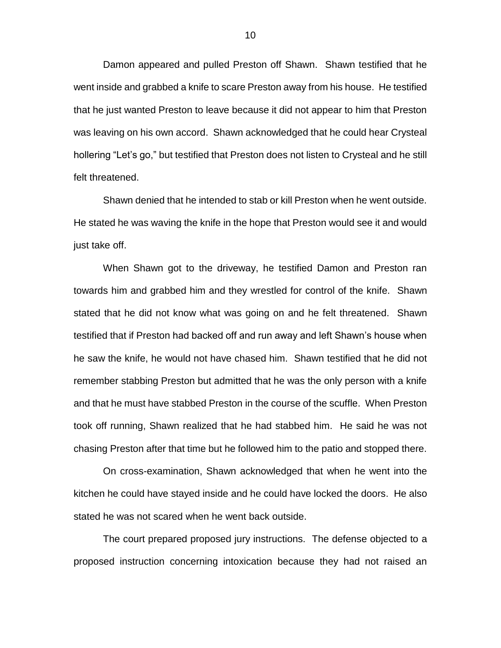Damon appeared and pulled Preston off Shawn. Shawn testified that he went inside and grabbed a knife to scare Preston away from his house. He testified that he just wanted Preston to leave because it did not appear to him that Preston was leaving on his own accord. Shawn acknowledged that he could hear Crysteal hollering "Let's go," but testified that Preston does not listen to Crysteal and he still felt threatened.

Shawn denied that he intended to stab or kill Preston when he went outside. He stated he was waving the knife in the hope that Preston would see it and would just take off.

When Shawn got to the driveway, he testified Damon and Preston ran towards him and grabbed him and they wrestled for control of the knife. Shawn stated that he did not know what was going on and he felt threatened. Shawn testified that if Preston had backed off and run away and left Shawn's house when he saw the knife, he would not have chased him. Shawn testified that he did not remember stabbing Preston but admitted that he was the only person with a knife and that he must have stabbed Preston in the course of the scuffle. When Preston took off running, Shawn realized that he had stabbed him. He said he was not chasing Preston after that time but he followed him to the patio and stopped there.

On cross-examination, Shawn acknowledged that when he went into the kitchen he could have stayed inside and he could have locked the doors. He also stated he was not scared when he went back outside.

The court prepared proposed jury instructions. The defense objected to a proposed instruction concerning intoxication because they had not raised an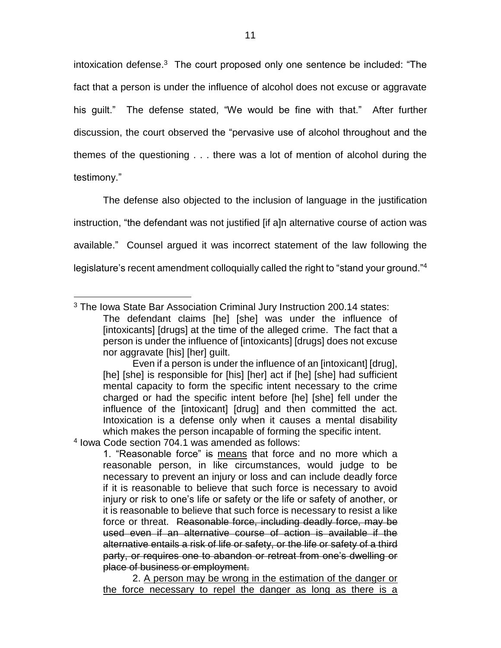intoxication defense. 3 The court proposed only one sentence be included: "The fact that a person is under the influence of alcohol does not excuse or aggravate his guilt." The defense stated, "We would be fine with that." After further discussion, the court observed the "pervasive use of alcohol throughout and the themes of the questioning . . . there was a lot of mention of alcohol during the testimony."

The defense also objected to the inclusion of language in the justification instruction, "the defendant was not justified [if a]n alternative course of action was available." Counsel argued it was incorrect statement of the law following the legislature's recent amendment colloquially called the right to "stand your ground."<sup>4</sup>

 $\overline{a}$ 

<sup>3</sup> The Iowa State Bar Association Criminal Jury Instruction 200.14 states:

The defendant claims [he] [she] was under the influence of [intoxicants] [drugs] at the time of the alleged crime. The fact that a person is under the influence of [intoxicants] [drugs] does not excuse nor aggravate [his] [her] guilt.

Even if a person is under the influence of an [intoxicant] [drug], [he] [she] is responsible for [his] [her] act if [he] [she] had sufficient mental capacity to form the specific intent necessary to the crime charged or had the specific intent before [he] [she] fell under the influence of the [intoxicant] [drug] and then committed the act. Intoxication is a defense only when it causes a mental disability which makes the person incapable of forming the specific intent.

<sup>4</sup> Iowa Code section 704.1 was amended as follows:

<sup>1. &</sup>quot;Reasonable force" is means that force and no more which a reasonable person, in like circumstances, would judge to be necessary to prevent an injury or loss and can include deadly force if it is reasonable to believe that such force is necessary to avoid injury or risk to one's life or safety or the life or safety of another, or it is reasonable to believe that such force is necessary to resist a like force or threat. Reasonable force, including deadly force, may be used even if an alternative course of action is available if the alternative entails a risk of life or safety, or the life or safety of a third party, or requires one to abandon or retreat from one's dwelling or place of business or employment.

<sup>2.</sup> A person may be wrong in the estimation of the danger or the force necessary to repel the danger as long as there is a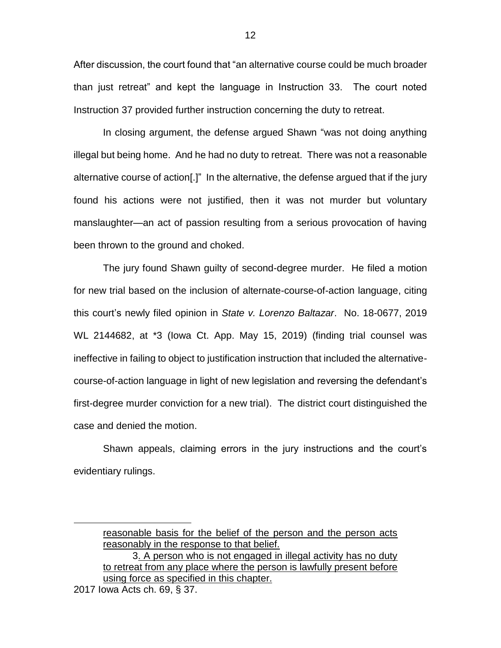After discussion, the court found that "an alternative course could be much broader than just retreat" and kept the language in Instruction 33. The court noted Instruction 37 provided further instruction concerning the duty to retreat.

In closing argument, the defense argued Shawn "was not doing anything illegal but being home. And he had no duty to retreat. There was not a reasonable alternative course of action[.]" In the alternative, the defense argued that if the jury found his actions were not justified, then it was not murder but voluntary manslaughter—an act of passion resulting from a serious provocation of having been thrown to the ground and choked.

The jury found Shawn guilty of second-degree murder. He filed a motion for new trial based on the inclusion of alternate-course-of-action language, citing this court's newly filed opinion in *State v. Lorenzo Baltazar*. No. 18-0677, 2019 WL 2144682, at \*3 (Iowa Ct. App. May 15, 2019) (finding trial counsel was ineffective in failing to object to justification instruction that included the alternativecourse-of-action language in light of new legislation and reversing the defendant's first-degree murder conviction for a new trial). The district court distinguished the case and denied the motion.

Shawn appeals, claiming errors in the jury instructions and the court's evidentiary rulings.

 $\overline{a}$ 

reasonable basis for the belief of the person and the person acts reasonably in the response to that belief.

<sup>3.</sup> A person who is not engaged in illegal activity has no duty to retreat from any place where the person is lawfully present before using force as specified in this chapter.

<sup>2017</sup> Iowa Acts ch. 69, § 37.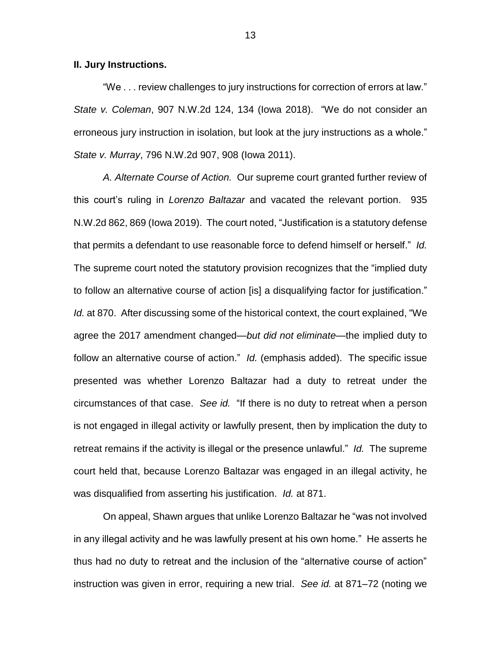#### **II. Jury Instructions.**

"We . . . review challenges to jury instructions for correction of errors at law." *State v. Coleman*, 907 N.W.2d 124, 134 (Iowa 2018). "We do not consider an erroneous jury instruction in isolation, but look at the jury instructions as a whole." *State v. Murray*, 796 N.W.2d 907, 908 (Iowa 2011).

*A. Alternate Course of Action.* Our supreme court granted further review of this court's ruling in *Lorenzo Baltazar* and vacated the relevant portion. 935 N.W.2d 862, 869 (Iowa 2019). The court noted, "Justification is a statutory defense that permits a defendant to use reasonable force to defend himself or herself." *Id.*  The supreme court noted the statutory provision recognizes that the "implied duty to follow an alternative course of action [is] a disqualifying factor for justification." *Id.* at 870.After discussing some of the historical context, the court explained, "We agree the 2017 amendment changed—*but did not eliminate—*the implied duty to follow an alternative course of action." *Id.* (emphasis added). The specific issue presented was whether Lorenzo Baltazar had a duty to retreat under the circumstances of that case. *See id.* "If there is no duty to retreat when a person is not engaged in illegal activity or lawfully present, then by implication the duty to retreat remains if the activity is illegal or the presence unlawful." *Id.* The supreme court held that, because Lorenzo Baltazar was engaged in an illegal activity, he was disqualified from asserting his justification. *Id.* at 871.

On appeal, Shawn argues that unlike Lorenzo Baltazar he "was not involved in any illegal activity and he was lawfully present at his own home." He asserts he thus had no duty to retreat and the inclusion of the "alternative course of action" instruction was given in error, requiring a new trial. *See id.* at 871–72 (noting we

13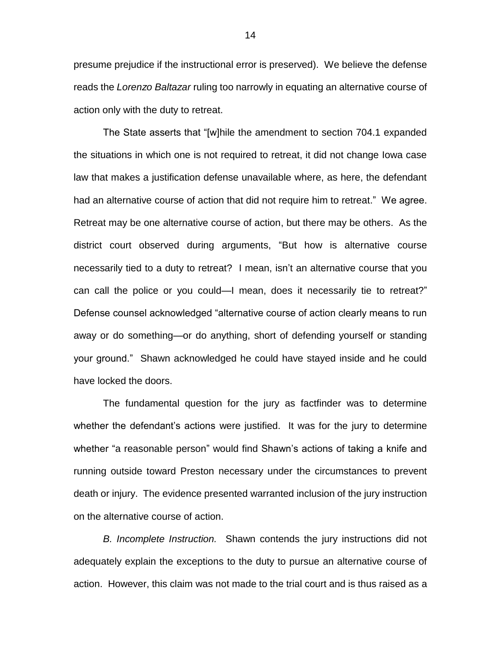presume prejudice if the instructional error is preserved). We believe the defense reads the *Lorenzo Baltazar* ruling too narrowly in equating an alternative course of action only with the duty to retreat.

The State asserts that "[w]hile the amendment to section 704.1 expanded the situations in which one is not required to retreat, it did not change Iowa case law that makes a justification defense unavailable where, as here, the defendant had an alternative course of action that did not require him to retreat." We agree. Retreat may be one alternative course of action, but there may be others. As the district court observed during arguments, "But how is alternative course necessarily tied to a duty to retreat? I mean, isn't an alternative course that you can call the police or you could—I mean, does it necessarily tie to retreat?" Defense counsel acknowledged "alternative course of action clearly means to run away or do something—or do anything, short of defending yourself or standing your ground." Shawn acknowledged he could have stayed inside and he could have locked the doors.

The fundamental question for the jury as factfinder was to determine whether the defendant's actions were justified. It was for the jury to determine whether "a reasonable person" would find Shawn's actions of taking a knife and running outside toward Preston necessary under the circumstances to prevent death or injury. The evidence presented warranted inclusion of the jury instruction on the alternative course of action.

*B. Incomplete Instruction.* Shawn contends the jury instructions did not adequately explain the exceptions to the duty to pursue an alternative course of action. However, this claim was not made to the trial court and is thus raised as a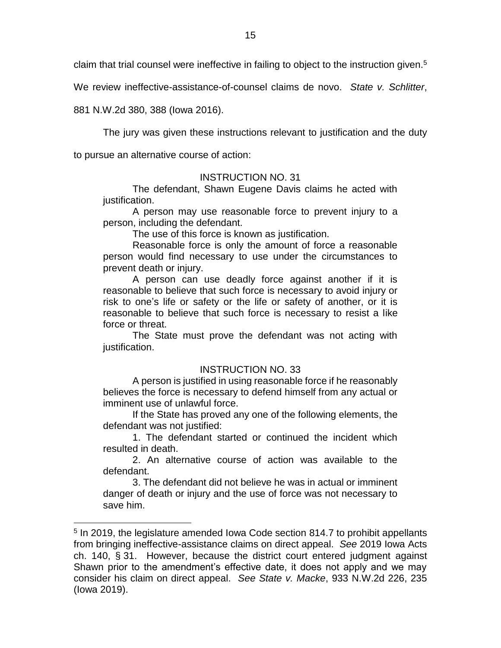claim that trial counsel were ineffective in failing to object to the instruction given.<sup>5</sup>

We review ineffective-assistance-of-counsel claims de novo. *State v. Schlitter*,

881 N.W.2d 380, 388 (Iowa 2016).

 $\overline{a}$ 

The jury was given these instructions relevant to justification and the duty

to pursue an alternative course of action:

### INSTRUCTION NO. 31

The defendant, Shawn Eugene Davis claims he acted with justification.

A person may use reasonable force to prevent injury to a person, including the defendant.

The use of this force is known as justification.

Reasonable force is only the amount of force a reasonable person would find necessary to use under the circumstances to prevent death or injury.

A person can use deadly force against another if it is reasonable to believe that such force is necessary to avoid injury or risk to one's life or safety or the life or safety of another, or it is reasonable to believe that such force is necessary to resist a like force or threat.

The State must prove the defendant was not acting with justification.

#### INSTRUCTION NO. 33

A person is justified in using reasonable force if he reasonably believes the force is necessary to defend himself from any actual or imminent use of unlawful force.

If the State has proved any one of the following elements, the defendant was not justified:

1. The defendant started or continued the incident which resulted in death.

2. An alternative course of action was available to the defendant.

3. The defendant did not believe he was in actual or imminent danger of death or injury and the use of force was not necessary to save him.

<sup>&</sup>lt;sup>5</sup> In 2019, the legislature amended Iowa Code section 814.7 to prohibit appellants from bringing ineffective-assistance claims on direct appeal. *See* 2019 Iowa Acts ch. 140, § 31. However, because the district court entered judgment against Shawn prior to the amendment's effective date, it does not apply and we may consider his claim on direct appeal. *See State v. Macke*, 933 N.W.2d 226, 235 (Iowa 2019).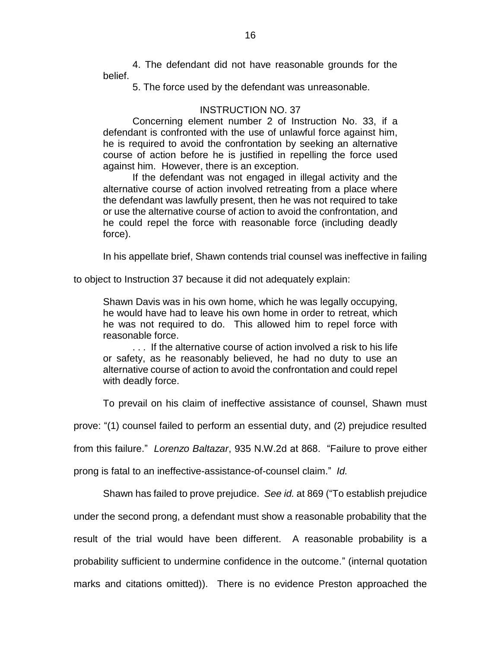4. The defendant did not have reasonable grounds for the belief.

5. The force used by the defendant was unreasonable.

## INSTRUCTION NO. 37

Concerning element number 2 of Instruction No. 33, if a defendant is confronted with the use of unlawful force against him, he is required to avoid the confrontation by seeking an alternative course of action before he is justified in repelling the force used against him. However, there is an exception.

If the defendant was not engaged in illegal activity and the alternative course of action involved retreating from a place where the defendant was lawfully present, then he was not required to take or use the alternative course of action to avoid the confrontation, and he could repel the force with reasonable force (including deadly force).

In his appellate brief, Shawn contends trial counsel was ineffective in failing

to object to Instruction 37 because it did not adequately explain:

Shawn Davis was in his own home, which he was legally occupying, he would have had to leave his own home in order to retreat, which he was not required to do. This allowed him to repel force with reasonable force.

. . . If the alternative course of action involved a risk to his life or safety, as he reasonably believed, he had no duty to use an alternative course of action to avoid the confrontation and could repel with deadly force.

To prevail on his claim of ineffective assistance of counsel, Shawn must

prove: "(1) counsel failed to perform an essential duty, and (2) prejudice resulted

from this failure." *Lorenzo Baltazar*, 935 N.W.2d at 868. "Failure to prove either

prong is fatal to an ineffective-assistance-of-counsel claim." *Id.* 

Shawn has failed to prove prejudice. *See id.* at 869 ("To establish prejudice

under the second prong, a defendant must show a reasonable probability that the

result of the trial would have been different. A reasonable probability is a

probability sufficient to undermine confidence in the outcome." (internal quotation

marks and citations omitted)). There is no evidence Preston approached the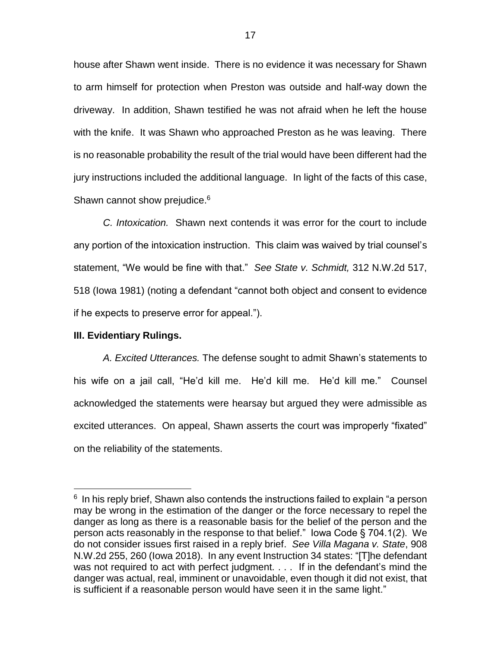house after Shawn went inside. There is no evidence it was necessary for Shawn to arm himself for protection when Preston was outside and half-way down the driveway. In addition, Shawn testified he was not afraid when he left the house with the knife. It was Shawn who approached Preston as he was leaving. There is no reasonable probability the result of the trial would have been different had the jury instructions included the additional language. In light of the facts of this case, Shawn cannot show prejudice.<sup>6</sup>

*C. Intoxication.* Shawn next contends it was error for the court to include any portion of the intoxication instruction. This claim was waived by trial counsel's statement, "We would be fine with that." *See State v. Schmidt,* 312 N.W.2d 517, 518 (Iowa 1981) (noting a defendant "cannot both object and consent to evidence if he expects to preserve error for appeal.").

### **III. Evidentiary Rulings.**

 $\overline{a}$ 

*A. Excited Utterances.* The defense sought to admit Shawn's statements to his wife on a jail call, "He'd kill me. He'd kill me. He'd kill me." Counsel acknowledged the statements were hearsay but argued they were admissible as excited utterances. On appeal, Shawn asserts the court was improperly "fixated" on the reliability of the statements.

 $6$  In his reply brief, Shawn also contends the instructions failed to explain "a person may be wrong in the estimation of the danger or the force necessary to repel the danger as long as there is a reasonable basis for the belief of the person and the person acts reasonably in the response to that belief." Iowa Code § 704.1(2). We do not consider issues first raised in a reply brief. *See Villa Magana v. State*, 908 N.W.2d 255, 260 (Iowa 2018). In any event Instruction 34 states: "[T]he defendant was not required to act with perfect judgment. . . . If in the defendant's mind the danger was actual, real, imminent or unavoidable, even though it did not exist, that is sufficient if a reasonable person would have seen it in the same light."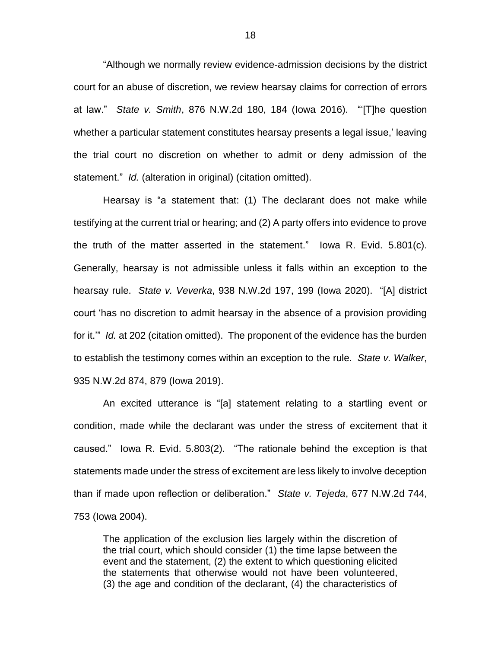"Although we normally review evidence-admission decisions by the district court for an abuse of discretion, we review hearsay claims for correction of errors at law." *State v. Smith*, 876 N.W.2d 180, 184 (Iowa 2016). "'[T]he question whether a particular statement constitutes hearsay presents a legal issue,' leaving the trial court no discretion on whether to admit or deny admission of the statement." *Id.* (alteration in original) (citation omitted).

Hearsay is "a statement that: (1) The declarant does not make while testifying at the current trial or hearing; and (2) A party offers into evidence to prove the truth of the matter asserted in the statement." Iowa R. Evid. 5.801(c). Generally, hearsay is not admissible unless it falls within an exception to the hearsay rule. *State v. Veverka*, 938 N.W.2d 197, 199 (Iowa 2020). "[A] district court 'has no discretion to admit hearsay in the absence of a provision providing for it.'" *Id.* at 202 (citation omitted).The proponent of the evidence has the burden to establish the testimony comes within an exception to the rule. *State v. Walker*, 935 N.W.2d 874, 879 (Iowa 2019).

An excited utterance is "[a] statement relating to a startling event or condition, made while the declarant was under the stress of excitement that it caused." Iowa R. Evid. 5.803(2). "The rationale behind the exception is that statements made under the stress of excitement are less likely to involve deception than if made upon reflection or deliberation." *State v. Tejeda*, 677 N.W.2d 744, 753 (Iowa 2004).

The application of the exclusion lies largely within the discretion of the trial court, which should consider (1) the time lapse between the event and the statement, (2) the extent to which questioning elicited the statements that otherwise would not have been volunteered, (3) the age and condition of the declarant, (4) the characteristics of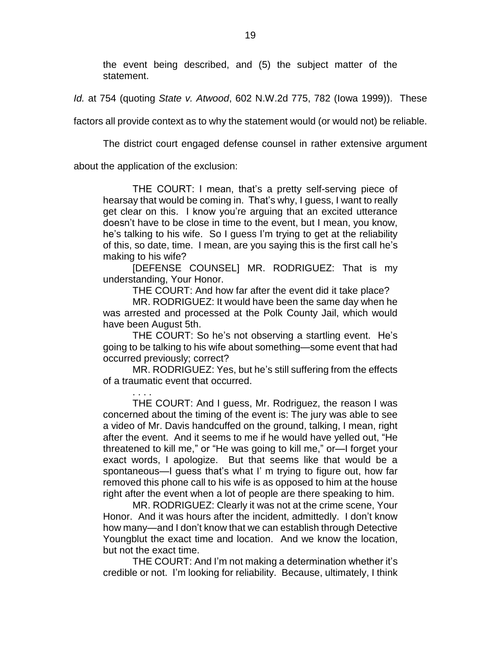the event being described, and (5) the subject matter of the statement.

*Id.* at 754 (quoting *State v. Atwood*, 602 N.W.2d 775, 782 (Iowa 1999)). These

factors all provide context as to why the statement would (or would not) be reliable.

The district court engaged defense counsel in rather extensive argument

about the application of the exclusion:

THE COURT: I mean, that's a pretty self-serving piece of hearsay that would be coming in. That's why, I guess, I want to really get clear on this. I know you're arguing that an excited utterance doesn't have to be close in time to the event, but I mean, you know, he's talking to his wife. So I guess I'm trying to get at the reliability of this, so date, time. I mean, are you saying this is the first call he's making to his wife?

[DEFENSE COUNSEL] MR. RODRIGUEZ: That is my understanding, Your Honor.

THE COURT: And how far after the event did it take place?

MR. RODRIGUEZ: It would have been the same day when he was arrested and processed at the Polk County Jail, which would have been August 5th.

THE COURT: So he's not observing a startling event. He's going to be talking to his wife about something—some event that had occurred previously; correct?

MR. RODRIGUEZ: Yes, but he's still suffering from the effects of a traumatic event that occurred.

. . . . THE COURT: And I guess, Mr. Rodriguez, the reason I was concerned about the timing of the event is: The jury was able to see a video of Mr. Davis handcuffed on the ground, talking, I mean, right after the event. And it seems to me if he would have yelled out, "He threatened to kill me," or "He was going to kill me," or—I forget your exact words, I apologize. But that seems like that would be a spontaneous—I guess that's what I' m trying to figure out, how far removed this phone call to his wife is as opposed to him at the house right after the event when a lot of people are there speaking to him.

MR. RODRIGUEZ: Clearly it was not at the crime scene, Your Honor. And it was hours after the incident, admittedly. I don't know how many—and I don't know that we can establish through Detective Youngblut the exact time and location. And we know the location, but not the exact time.

THE COURT: And I'm not making a determination whether it's credible or not. I'm looking for reliability. Because, ultimately, I think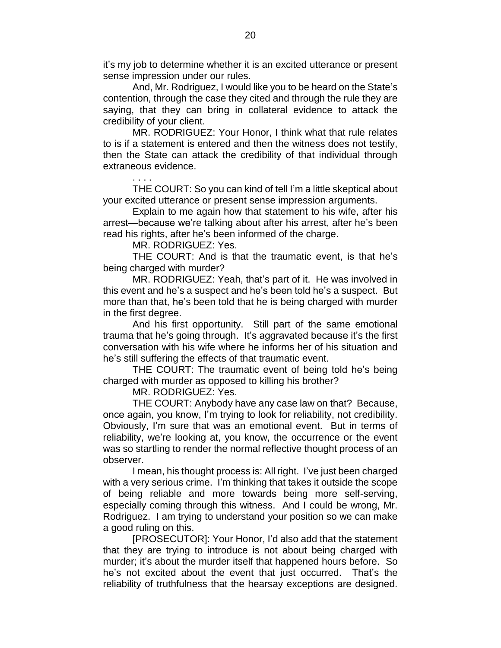it's my job to determine whether it is an excited utterance or present sense impression under our rules.

And, Mr. Rodriguez, I would like you to be heard on the State's contention, through the case they cited and through the rule they are saying, that they can bring in collateral evidence to attack the credibility of your client.

MR. RODRIGUEZ: Your Honor, I think what that rule relates to is if a statement is entered and then the witness does not testify, then the State can attack the credibility of that individual through extraneous evidence.

THE COURT: So you can kind of tell I'm a little skeptical about your excited utterance or present sense impression arguments.

Explain to me again how that statement to his wife, after his arrest—because we're talking about after his arrest, after he's been read his rights, after he's been informed of the charge.

MR. RODRIGUEZ: Yes.

. . . .

THE COURT: And is that the traumatic event, is that he's being charged with murder?

MR. RODRIGUEZ: Yeah, that's part of it. He was involved in this event and he's a suspect and he's been told he's a suspect. But more than that, he's been told that he is being charged with murder in the first degree.

And his first opportunity. Still part of the same emotional trauma that he's going through. It's aggravated because it's the first conversation with his wife where he informs her of his situation and he's still suffering the effects of that traumatic event.

THE COURT: The traumatic event of being told he's being charged with murder as opposed to killing his brother?

MR. RODRIGUEZ: Yes.

THE COURT: Anybody have any case law on that? Because, once again, you know, I'm trying to look for reliability, not credibility. Obviously, I'm sure that was an emotional event. But in terms of reliability, we're looking at, you know, the occurrence or the event was so startling to render the normal reflective thought process of an observer.

I mean, his thought process is: All right. I've just been charged with a very serious crime. I'm thinking that takes it outside the scope of being reliable and more towards being more self-serving, especially coming through this witness. And I could be wrong, Mr. Rodriguez. I am trying to understand your position so we can make a good ruling on this.

[PROSECUTOR]: Your Honor, I'd also add that the statement that they are trying to introduce is not about being charged with murder; it's about the murder itself that happened hours before. So he's not excited about the event that just occurred. That's the reliability of truthfulness that the hearsay exceptions are designed.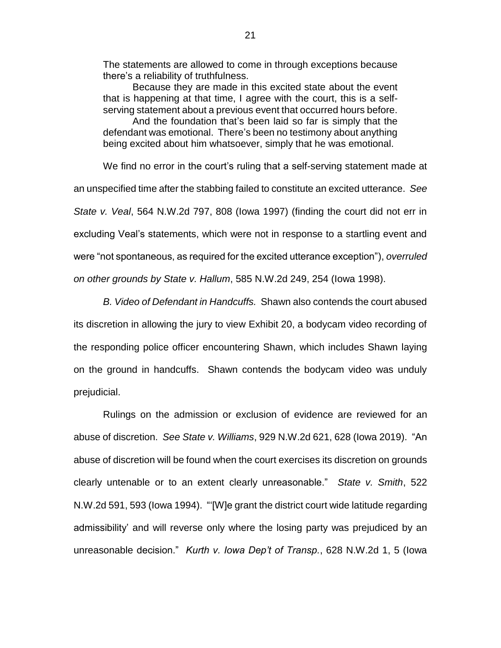The statements are allowed to come in through exceptions because there's a reliability of truthfulness.

Because they are made in this excited state about the event that is happening at that time, I agree with the court, this is a selfserving statement about a previous event that occurred hours before.

And the foundation that's been laid so far is simply that the defendant was emotional. There's been no testimony about anything being excited about him whatsoever, simply that he was emotional.

We find no error in the court's ruling that a self-serving statement made at an unspecified time after the stabbing failed to constitute an excited utterance. *See State v. Veal*, 564 N.W.2d 797, 808 (Iowa 1997) (finding the court did not err in excluding Veal's statements, which were not in response to a startling event and were "not spontaneous, as required for the excited utterance exception"), *overruled on other grounds by State v. Hallum*, 585 N.W.2d 249, 254 (Iowa 1998).

*B. Video of Defendant in Handcuffs.* Shawn also contends the court abused its discretion in allowing the jury to view Exhibit 20, a bodycam video recording of the responding police officer encountering Shawn, which includes Shawn laying on the ground in handcuffs. Shawn contends the bodycam video was unduly prejudicial.

Rulings on the admission or exclusion of evidence are reviewed for an abuse of discretion. *See State v. Williams*, 929 N.W.2d 621, 628 (Iowa 2019). "An abuse of discretion will be found when the court exercises its discretion on grounds clearly untenable or to an extent clearly unreasonable." *State v. Smith*, 522 N.W.2d 591, 593 (Iowa 1994). "'[W]e grant the district court wide latitude regarding admissibility' and will reverse only where the losing party was prejudiced by an unreasonable decision." *Kurth v. Iowa Dep't of Transp.*, 628 N.W.2d 1, 5 (Iowa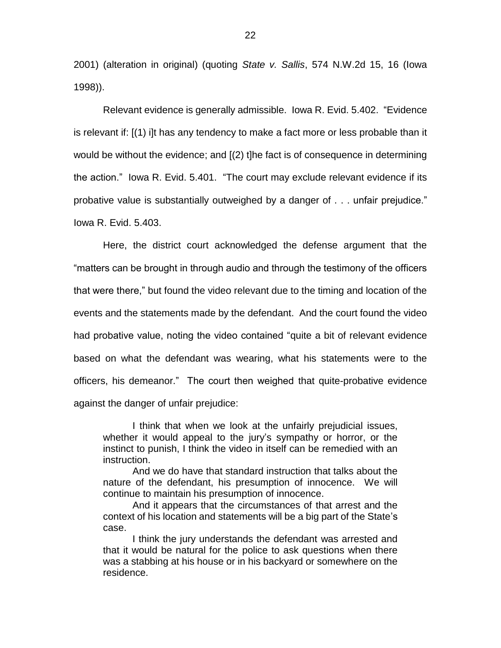2001) (alteration in original) (quoting *State v. Sallis*, 574 N.W.2d 15, 16 (Iowa 1998)).

Relevant evidence is generally admissible. Iowa R. Evid. 5.402. "Evidence is relevant if: [(1) i]t has any tendency to make a fact more or less probable than it would be without the evidence; and [(2) t]he fact is of consequence in determining the action." Iowa R. Evid. 5.401. "The court may exclude relevant evidence if its probative value is substantially outweighed by a danger of . . . unfair prejudice." Iowa R. Evid. 5.403.

Here, the district court acknowledged the defense argument that the "matters can be brought in through audio and through the testimony of the officers that were there," but found the video relevant due to the timing and location of the events and the statements made by the defendant. And the court found the video had probative value, noting the video contained "quite a bit of relevant evidence based on what the defendant was wearing, what his statements were to the officers, his demeanor." The court then weighed that quite-probative evidence against the danger of unfair prejudice:

I think that when we look at the unfairly prejudicial issues, whether it would appeal to the jury's sympathy or horror, or the instinct to punish, I think the video in itself can be remedied with an instruction.

And we do have that standard instruction that talks about the nature of the defendant, his presumption of innocence. We will continue to maintain his presumption of innocence.

And it appears that the circumstances of that arrest and the context of his location and statements will be a big part of the State's case.

I think the jury understands the defendant was arrested and that it would be natural for the police to ask questions when there was a stabbing at his house or in his backyard or somewhere on the residence.